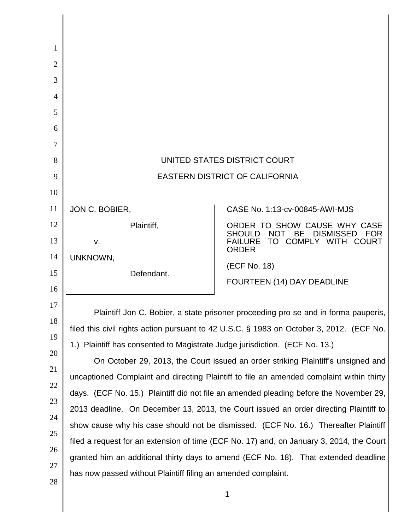| 1              |                                                                                                                                                                                 |                                                             |  |
|----------------|---------------------------------------------------------------------------------------------------------------------------------------------------------------------------------|-------------------------------------------------------------|--|
| $\overline{2}$ |                                                                                                                                                                                 |                                                             |  |
| 3              |                                                                                                                                                                                 |                                                             |  |
| 4              |                                                                                                                                                                                 |                                                             |  |
| 5              |                                                                                                                                                                                 |                                                             |  |
| 6              |                                                                                                                                                                                 |                                                             |  |
| 7              |                                                                                                                                                                                 |                                                             |  |
| 8              | UNITED STATES DISTRICT COURT                                                                                                                                                    |                                                             |  |
| 9              | <b>EASTERN DISTRICT OF CALIFORNIA</b>                                                                                                                                           |                                                             |  |
| 10             |                                                                                                                                                                                 |                                                             |  |
| 11             | JON C. BOBIER,                                                                                                                                                                  | CASE No. 1:13-cv-00845-AWI-MJS                              |  |
| 12             | Plaintiff,                                                                                                                                                                      | ORDER TO SHOW CAUSE WHY CASE<br>SHOULD NOT BE DISMISSED FOR |  |
| 13             | v.                                                                                                                                                                              | TO COMPLY WITH COURT<br><b>FAILURE</b><br><b>ORDER</b>      |  |
| 14             | UNKNOWN,                                                                                                                                                                        | (ECF No. 18)                                                |  |
| 15             | Defendant.                                                                                                                                                                      | <b>FOURTEEN (14) DAY DEADLINE</b>                           |  |
| 16             |                                                                                                                                                                                 |                                                             |  |
| 17<br>18       | Plaintiff Jon C. Bobier, a state prisoner proceeding pro se and in forma pauperis,                                                                                              |                                                             |  |
| 19             | filed this civil rights action pursuant to 42 U.S.C. § 1983 on October 3, 2012. (ECF No.                                                                                        |                                                             |  |
| 20             | 1.) Plaintiff has consented to Magistrate Judge jurisdiction. (ECF No. 13.)                                                                                                     |                                                             |  |
| 21             | On October 29, 2013, the Court issued an order striking Plaintiff's unsigned and                                                                                                |                                                             |  |
| 22             | uncaptioned Complaint and directing Plaintiff to file an amended complaint within thirty                                                                                        |                                                             |  |
| 23             | days. (ECF No. 15.) Plaintiff did not file an amended pleading before the November 29,                                                                                          |                                                             |  |
| 24             | 2013 deadline. On December 13, 2013, the Court issued an order directing Plaintiff to<br>show cause why his case should not be dismissed. (ECF No. 16.) Thereafter Plaintiff    |                                                             |  |
| 25             |                                                                                                                                                                                 |                                                             |  |
| 26             | filed a request for an extension of time (ECF No. 17) and, on January 3, 2014, the Court<br>granted him an additional thirty days to amend (ECF No. 18). That extended deadline |                                                             |  |
| 27             |                                                                                                                                                                                 |                                                             |  |
| 28             | has now passed without Plaintiff filing an amended complaint.                                                                                                                   |                                                             |  |
|                |                                                                                                                                                                                 | 1                                                           |  |